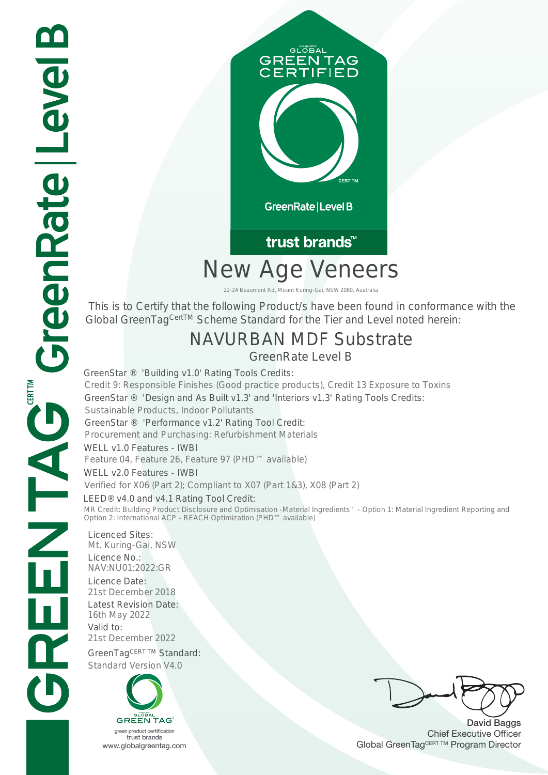

# New Age Veneers

22-24 Beaumont Rd, Mount Kuring-Gai, NSW 2080, Australia

 This is to Certify that the following Product/s have been found in conformance with the Global GreenTag<sup>CertTM</sup> Scheme Standard for the Tier and Level noted herein:

## NAVURBAN MDF Substrate

GreenRate Level B

GreenStar ® 'Design and As Built v1.3' and 'Interiors v1.3' Rating Tools Credits: Sustainable Products, Indoor Pollutants GreenStar ® 'Performance v1.2' Rating Tool Credit: Procurement and Purchasing: Refurbishment Materials WELL v1.0 Features - IWBI<br>Feature 04, Feature 26, Feature 97 (PHD™ available) WELL v2.0 Features - IWBI Verified for X06 (Part 2); Compliant to X07 (Part 1&3), X08 (Part 2) GreenStar ® 'Building v1.0' Rating Tools Credits:<br>Credit 9: Responsible Finishes (Good practice products), Credit 13 Exposure to Toxins<br>GreenStar ® 'Design and As Built v1.3' and 'Interiors v1.3' Rating Tools Credits:<br>Sus

LEED® v4.0 and v4.1 Rating Tool Credit: MR Credit: Building Product Disclosure and Optimisation -Material Ingredients" - Option 1: Material Ingredient Reporting and Option 2: International ACP - REACH Optimization (PHD™ available)

Licenced Sites: Mt. Kuring-Gai, NSW Licence No.: NAV:NU01:2022:GR Licence Date:<br>21st December 2018 Latest Revision Date: 16th May 2022 Valid to: 21st December 2022 GreenTagCERT TM Standard: Standard Version V4.0



David Baggs Chief Executive Officer WWW.globalgreentag.com Web States and Changes and Changes and Changes and Changes and Changes and Changes and Changes and Changes and Changes and Changes and Changes and Changes and Changes and Changes and Changes and Chan